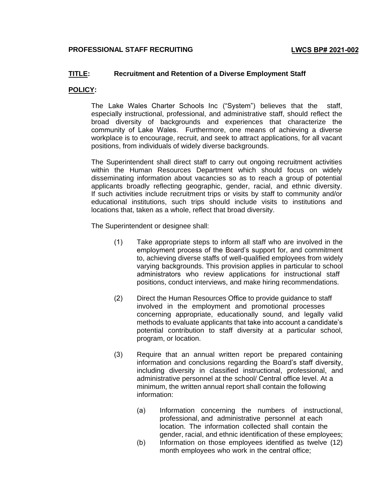## **TITLE: Recruitment and Retention of a Diverse Employment Staff**

## **POLICY:**

The Lake Wales Charter Schools Inc ("System") believes that the staff, especially instructional, professional, and administrative staff, should reflect the broad diversity of backgrounds and experiences that characterize the community of Lake Wales. Furthermore, one means of achieving a diverse workplace is to encourage, recruit, and seek to attract applications, for all vacant positions, from individuals of widely diverse backgrounds.

The Superintendent shall direct staff to carry out ongoing recruitment activities within the Human Resources Department which should focus on widely disseminating information about vacancies so as to reach a group of potential applicants broadly reflecting geographic, gender, racial, and ethnic diversity. If such activities include recruitment trips or visits by staff to community and/or educational institutions, such trips should include visits to institutions and locations that, taken as a whole, reflect that broad diversity.

The Superintendent or designee shall:

- (1) Take appropriate steps to inform all staff who are involved in the employment process of the Board's support for, and commitment to, achieving diverse staffs of well-qualified employees from widely varying backgrounds. This provision applies in particular to school administrators who review applications for instructional staff positions, conduct interviews, and make hiring recommendations.
- (2) Direct the Human Resources Office to provide guidance to staff involved in the employment and promotional processes concerning appropriate, educationally sound, and legally valid methods to evaluate applicants that take into account a candidate's potential contribution to staff diversity at a particular school, program, or location.
- (3) Require that an annual written report be prepared containing information and conclusions regarding the Board's staff diversity, including diversity in classified instructional, professional, and administrative personnel at the school/ Central office level. At a minimum, the written annual report shall contain the following information:
	- (a) Information concerning the numbers of instructional, professional, and administrative personnel at each location. The information collected shall contain the gender, racial, and ethnic identification of these employees;
	- (b) Information on those employees identified as twelve (12) month employees who work in the central office;